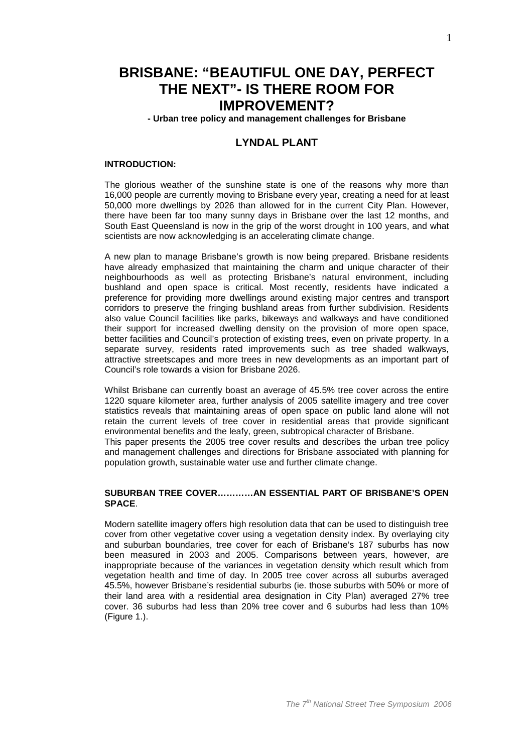# **BRISBANE: "BEAUTIFUL ONE DAY, PERFECT THE NEXT"- IS THERE ROOM FOR IMPROVEMENT?**

**- Urban tree policy and management challenges for Brisbane** 

## **LYNDAL PLANT**

#### **INTRODUCTION:**

The glorious weather of the sunshine state is one of the reasons why more than 16,000 people are currently moving to Brisbane every year, creating a need for at least 50,000 more dwellings by 2026 than allowed for in the current City Plan. However, there have been far too many sunny days in Brisbane over the last 12 months, and South East Queensland is now in the grip of the worst drought in 100 years, and what scientists are now acknowledging is an accelerating climate change.

A new plan to manage Brisbane's growth is now being prepared. Brisbane residents have already emphasized that maintaining the charm and unique character of their neighbourhoods as well as protecting Brisbane's natural environment, including bushland and open space is critical. Most recently, residents have indicated a preference for providing more dwellings around existing major centres and transport corridors to preserve the fringing bushland areas from further subdivision. Residents also value Council facilities like parks, bikeways and walkways and have conditioned their support for increased dwelling density on the provision of more open space, better facilities and Council's protection of existing trees, even on private property. In a separate survey, residents rated improvements such as tree shaded walkways, attractive streetscapes and more trees in new developments as an important part of Council's role towards a vision for Brisbane 2026.

Whilst Brisbane can currently boast an average of 45.5% tree cover across the entire 1220 square kilometer area, further analysis of 2005 satellite imagery and tree cover statistics reveals that maintaining areas of open space on public land alone will not retain the current levels of tree cover in residential areas that provide significant environmental benefits and the leafy, green, subtropical character of Brisbane. This paper presents the 2005 tree cover results and describes the urban tree policy

and management challenges and directions for Brisbane associated with planning for population growth, sustainable water use and further climate change.

#### **SUBURBAN TREE COVER…………AN ESSENTIAL PART OF BRISBANE'S OPEN SPACE**.

Modern satellite imagery offers high resolution data that can be used to distinguish tree cover from other vegetative cover using a vegetation density index. By overlaying city and suburban boundaries, tree cover for each of Brisbane's 187 suburbs has now been measured in 2003 and 2005. Comparisons between years, however, are inappropriate because of the variances in vegetation density which result which from vegetation health and time of day. In 2005 tree cover across all suburbs averaged 45.5%, however Brisbane's residential suburbs (ie. those suburbs with 50% or more of their land area with a residential area designation in City Plan) averaged 27% tree cover. 36 suburbs had less than 20% tree cover and 6 suburbs had less than 10% (Figure 1.).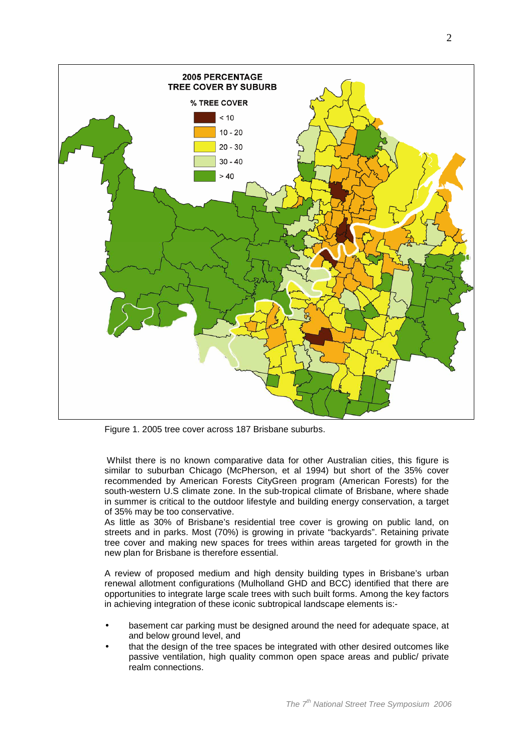

Figure 1. 2005 tree cover across 187 Brisbane suburbs.

 Whilst there is no known comparative data for other Australian cities, this figure is similar to suburban Chicago (McPherson, et al 1994) but short of the 35% cover recommended by American Forests CityGreen program (American Forests) for the south-western U.S climate zone. In the sub-tropical climate of Brisbane, where shade in summer is critical to the outdoor lifestyle and building energy conservation, a target of 35% may be too conservative.

As little as 30% of Brisbane's residential tree cover is growing on public land, on streets and in parks. Most (70%) is growing in private "backyards". Retaining private tree cover and making new spaces for trees within areas targeted for growth in the new plan for Brisbane is therefore essential.

A review of proposed medium and high density building types in Brisbane's urban renewal allotment configurations (Mulholland GHD and BCC) identified that there are opportunities to integrate large scale trees with such built forms. Among the key factors in achieving integration of these iconic subtropical landscape elements is:-

- basement car parking must be designed around the need for adequate space, at and below ground level, and
- that the design of the tree spaces be integrated with other desired outcomes like passive ventilation, high quality common open space areas and public/ private realm connections.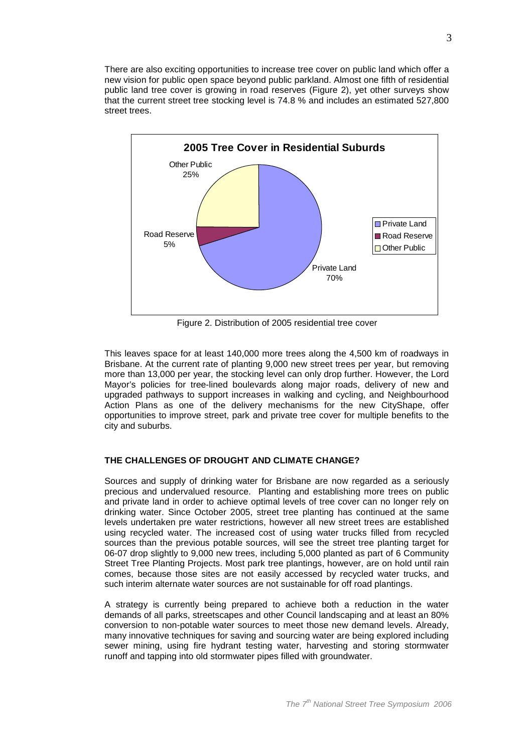There are also exciting opportunities to increase tree cover on public land which offer a new vision for public open space beyond public parkland. Almost one fifth of residential public land tree cover is growing in road reserves (Figure 2), yet other surveys show that the current street tree stocking level is 74.8 % and includes an estimated 527,800 street trees.



Figure 2. Distribution of 2005 residential tree cover

This leaves space for at least 140,000 more trees along the 4,500 km of roadways in Brisbane. At the current rate of planting 9,000 new street trees per year, but removing more than 13,000 per year, the stocking level can only drop further. However, the Lord Mayor's policies for tree-lined boulevards along major roads, delivery of new and upgraded pathways to support increases in walking and cycling, and Neighbourhood Action Plans as one of the delivery mechanisms for the new CityShape, offer opportunities to improve street, park and private tree cover for multiple benefits to the city and suburbs.

## **THE CHALLENGES OF DROUGHT AND CLIMATE CHANGE?**

Sources and supply of drinking water for Brisbane are now regarded as a seriously precious and undervalued resource. Planting and establishing more trees on public and private land in order to achieve optimal levels of tree cover can no longer rely on drinking water. Since October 2005, street tree planting has continued at the same levels undertaken pre water restrictions, however all new street trees are established using recycled water. The increased cost of using water trucks filled from recycled sources than the previous potable sources, will see the street tree planting target for 06-07 drop slightly to 9,000 new trees, including 5,000 planted as part of 6 Community Street Tree Planting Projects. Most park tree plantings, however, are on hold until rain comes, because those sites are not easily accessed by recycled water trucks, and such interim alternate water sources are not sustainable for off road plantings.

A strategy is currently being prepared to achieve both a reduction in the water demands of all parks, streetscapes and other Council landscaping and at least an 80% conversion to non-potable water sources to meet those new demand levels. Already, many innovative techniques for saving and sourcing water are being explored including sewer mining, using fire hydrant testing water, harvesting and storing stormwater runoff and tapping into old stormwater pipes filled with groundwater.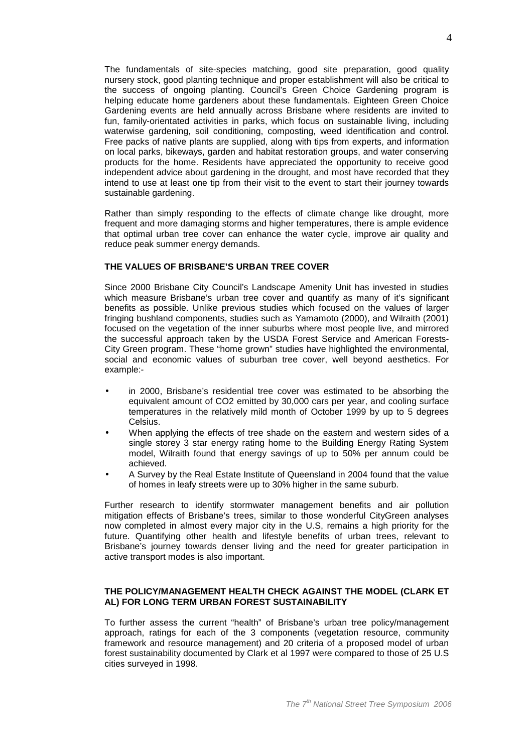The fundamentals of site-species matching, good site preparation, good quality nursery stock, good planting technique and proper establishment will also be critical to the success of ongoing planting. Council's Green Choice Gardening program is helping educate home gardeners about these fundamentals. Eighteen Green Choice Gardening events are held annually across Brisbane where residents are invited to fun, family-orientated activities in parks, which focus on sustainable living, including waterwise gardening, soil conditioning, composting, weed identification and control. Free packs of native plants are supplied, along with tips from experts, and information on local parks, bikeways, garden and habitat restoration groups, and water conserving products for the home. Residents have appreciated the opportunity to receive good independent advice about gardening in the drought, and most have recorded that they intend to use at least one tip from their visit to the event to start their journey towards sustainable gardening.

Rather than simply responding to the effects of climate change like drought, more frequent and more damaging storms and higher temperatures, there is ample evidence that optimal urban tree cover can enhance the water cycle, improve air quality and reduce peak summer energy demands.

## **THE VALUES OF BRISBANE'S URBAN TREE COVER**

Since 2000 Brisbane City Council's Landscape Amenity Unit has invested in studies which measure Brisbane's urban tree cover and quantify as many of it's significant benefits as possible. Unlike previous studies which focused on the values of larger fringing bushland components, studies such as Yamamoto (2000), and Wilraith (2001) focused on the vegetation of the inner suburbs where most people live, and mirrored the successful approach taken by the USDA Forest Service and American Forests-City Green program. These "home grown" studies have highlighted the environmental, social and economic values of suburban tree cover, well beyond aesthetics. For example:-

- in 2000, Brisbane's residential tree cover was estimated to be absorbing the equivalent amount of CO2 emitted by 30,000 cars per year, and cooling surface temperatures in the relatively mild month of October 1999 by up to 5 degrees Celsius.
- When applying the effects of tree shade on the eastern and western sides of a single storey 3 star energy rating home to the Building Energy Rating System model, Wilraith found that energy savings of up to 50% per annum could be achieved.
- A Survey by the Real Estate Institute of Queensland in 2004 found that the value of homes in leafy streets were up to 30% higher in the same suburb.

Further research to identify stormwater management benefits and air pollution mitigation effects of Brisbane's trees, similar to those wonderful CityGreen analyses now completed in almost every major city in the U.S, remains a high priority for the future. Quantifying other health and lifestyle benefits of urban trees, relevant to Brisbane's journey towards denser living and the need for greater participation in active transport modes is also important.

#### **THE POLICY/MANAGEMENT HEALTH CHECK AGAINST THE MODEL (CLARK ET AL) FOR LONG TERM URBAN FOREST SUSTAINABILITY**

To further assess the current "health" of Brisbane's urban tree policy/management approach, ratings for each of the 3 components (vegetation resource, community framework and resource management) and 20 criteria of a proposed model of urban forest sustainability documented by Clark et al 1997 were compared to those of 25 U.S cities surveyed in 1998.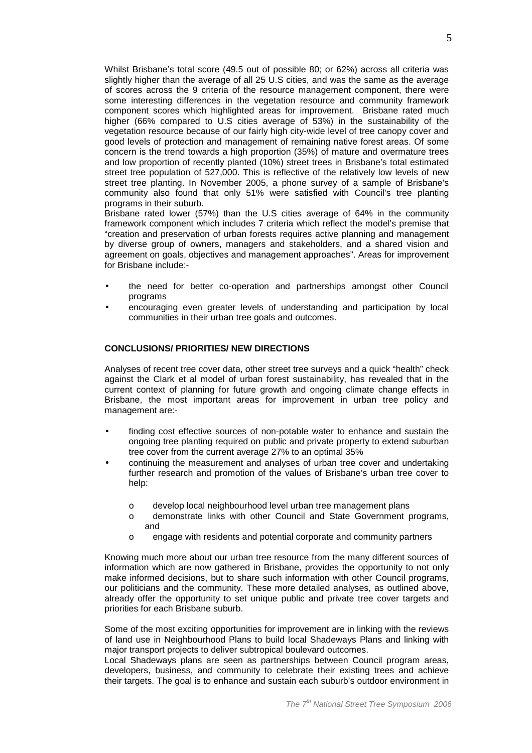Whilst Brisbane's total score (49.5 out of possible 80; or 62%) across all criteria was slightly higher than the average of all 25 U.S cities, and was the same as the average of scores across the 9 criteria of the resource management component, there were some interesting differences in the vegetation resource and community framework component scores which highlighted areas for improvement. Brisbane rated much higher (66% compared to U.S cities average of 53%) in the sustainability of the vegetation resource because of our fairly high city-wide level of tree canopy cover and good levels of protection and management of remaining native forest areas. Of some concern is the trend towards a high proportion (35%) of mature and overmature trees and low proportion of recently planted (10%) street trees in Brisbane's total estimated street tree population of 527,000. This is reflective of the relatively low levels of new street tree planting. In November 2005, a phone survey of a sample of Brisbane's community also found that only 51% were satisfied with Council's tree planting programs in their suburb.

Brisbane rated lower (57%) than the U.S cities average of 64% in the community framework component which includes 7 criteria which reflect the model's premise that "creation and preservation of urban forests requires active planning and management by diverse group of owners, managers and stakeholders, and a shared vision and agreement on goals, objectives and management approaches". Areas for improvement for Brisbane include:-

- the need for better co-operation and partnerships amongst other Council programs
- encouraging even greater levels of understanding and participation by local communities in their urban tree goals and outcomes.

### **CONCLUSIONS/ PRIORITIES/ NEW DIRECTIONS**

Analyses of recent tree cover data, other street tree surveys and a quick "health" check against the Clark et al model of urban forest sustainability, has revealed that in the current context of planning for future growth and ongoing climate change effects in Brisbane, the most important areas for improvement in urban tree policy and management are:-

- finding cost effective sources of non-potable water to enhance and sustain the ongoing tree planting required on public and private property to extend suburban tree cover from the current average 27% to an optimal 35%
- continuing the measurement and analyses of urban tree cover and undertaking further research and promotion of the values of Brisbane's urban tree cover to help:
	- o develop local neighbourhood level urban tree management plans
	- o demonstrate links with other Council and State Government programs, and
	- o engage with residents and potential corporate and community partners

Knowing much more about our urban tree resource from the many different sources of information which are now gathered in Brisbane, provides the opportunity to not only make informed decisions, but to share such information with other Council programs, our politicians and the community. These more detailed analyses, as outlined above, already offer the opportunity to set unique public and private tree cover targets and priorities for each Brisbane suburb.

Some of the most exciting opportunities for improvement are in linking with the reviews of land use in Neighbourhood Plans to build local Shadeways Plans and linking with major transport projects to deliver subtropical boulevard outcomes.

Local Shadeways plans are seen as partnerships between Council program areas, developers, business, and community to celebrate their existing trees and achieve their targets. The goal is to enhance and sustain each suburb's outdoor environment in